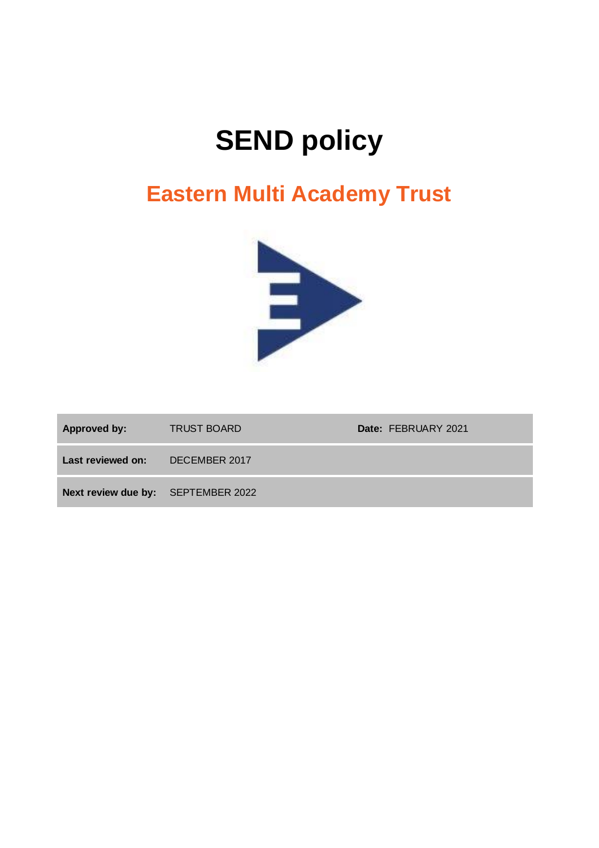# **SEND policy**

# **Eastern Multi Academy Trust**



| <b>Approved by:</b>                | <b>TRUST BOARD</b> | Date: FEBRUARY 2021 |
|------------------------------------|--------------------|---------------------|
| Last reviewed on:                  | DECEMBER 2017      |                     |
| Next review due by: SEPTEMBER 2022 |                    |                     |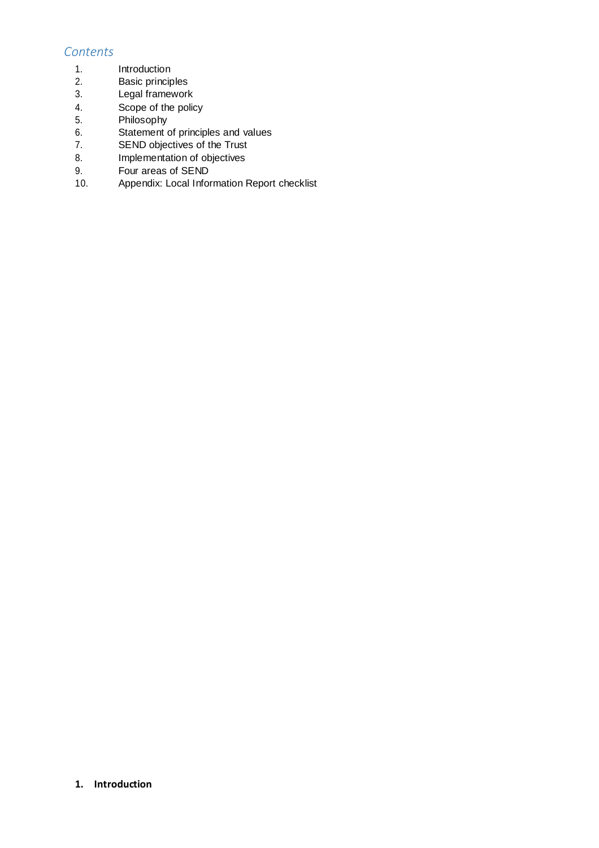# *Contents*

- 1. Introduction
- 2. Basic principles
- 3. Legal framework
- 4. Scope of the policy
- 5. Philosophy<br>6. Statement
- Statement of principles and values
- 7. SEND objectives of the Trust
- 8. Implementation of objectives
- 9. Four areas of SEND
- 10. Appendix: Local Information Report checklist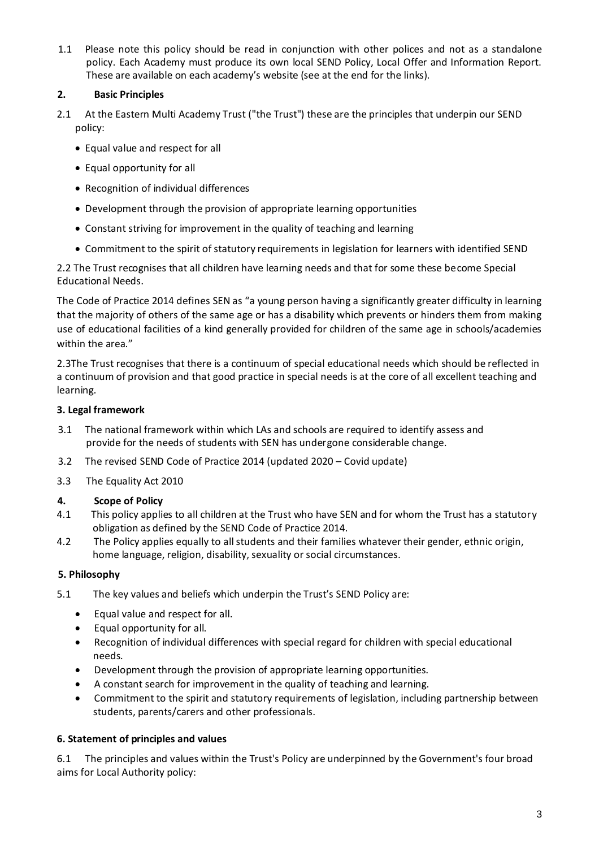1.1 Please note this policy should be read in conjunction with other polices and not as a standalone policy. Each Academy must produce its own local SEND Policy, Local Offer and Information Report. These are available on each academy's website (see at the end for the links).

# **2. Basic Principles**

- 2.1 At the Eastern Multi Academy Trust ("the Trust") these are the principles that underpin our SEND policy:
	- Equal value and respect for all
	- Equal opportunity for all
	- Recognition of individual differences
	- Development through the provision of appropriate learning opportunities
	- Constant striving for improvement in the quality of teaching and learning
	- Commitment to the spirit of statutory requirements in legislation for learners with identified SEND

2.2 The Trust recognises that all children have learning needs and that for some these become Special Educational Needs.

The Code of Practice 2014 defines SEN as "a young person having a significantly greater difficulty in learning that the majority of others of the same age or has a disability which prevents or hinders them from making use of educational facilities of a kind generally provided for children of the same age in schools/academies within the area."

2.3The Trust recognises that there is a continuum of special educational needs which should be reflected in a continuum of provision and that good practice in special needs is at the core of all excellent teaching and learning.

## **3. Legal framework**

- 3.1 The national framework within which LAs and schools are required to identify assess and provide for the needs of students with SEN has undergone considerable change.
- 3.2 The revised SEND Code of Practice 2014 (updated 2020 Covid update)
- 3.3 The Equality Act 2010

## **4. Scope of Policy**

- 4.1 This policy applies to all children at the Trust who have SEN and for whom the Trust has a statutory obligation as defined by the SEND Code of Practice 2014.
- 4.2 The Policy applies equally to all students and their families whatever their gender, ethnic origin, home language, religion, disability, sexuality or social circumstances.

## **5. Philosophy**

- 5.1 The key values and beliefs which underpin the Trust's SEND Policy are:
	- Equal value and respect for all.
	- Equal opportunity for all.
	- Recognition of individual differences with special regard for children with special educational needs.
	- Development through the provision of appropriate learning opportunities.
	- A constant search for improvement in the quality of teaching and learning.
	- Commitment to the spirit and statutory requirements of legislation, including partnership between students, parents/carers and other professionals.

## **6. Statement of principles and values**

6.1 The principles and values within the Trust's Policy are underpinned by the Government's four broad aims for Local Authority policy: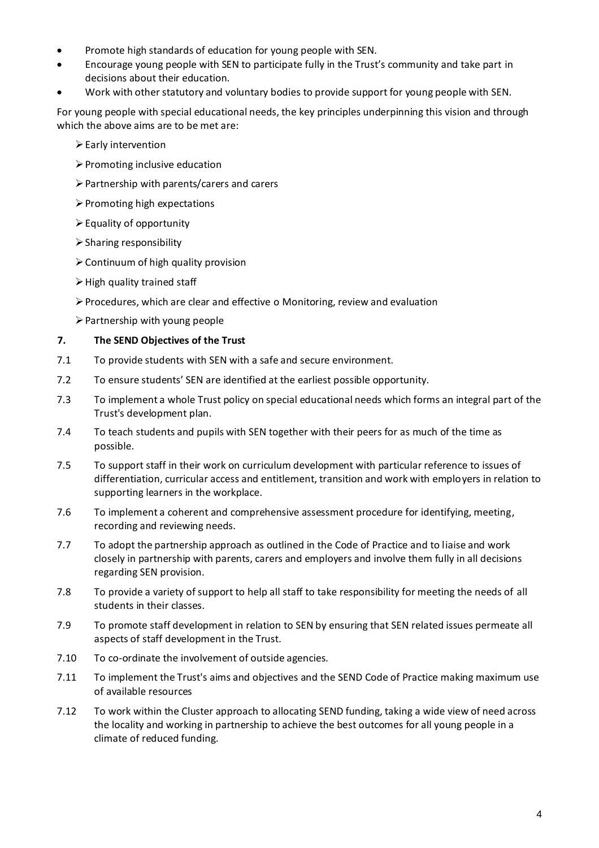- Promote high standards of education for young people with SEN.
- Encourage young people with SEN to participate fully in the Trust's community and take part in decisions about their education.
- Work with other statutory and voluntary bodies to provide support for young people with SEN.

For young people with special educational needs, the key principles underpinning this vision and through which the above aims are to be met are:

- ➢Early intervention
- ➢Promoting inclusive education
- ➢Partnership with parents/carers and carers
- ➢Promoting high expectations
- $\triangleright$  Equality of opportunity
- $\triangleright$  Sharing responsibility
- ➢Continuum of high quality provision
- $\triangleright$  High quality trained staff
- ➢Procedures, which are clear and effective o Monitoring, review and evaluation
- $\triangleright$  Partnership with young people

#### **7. The SEND Objectives of the Trust**

- 7.1 To provide students with SEN with a safe and secure environment.
- 7.2 To ensure students' SEN are identified at the earliest possible opportunity.
- 7.3 To implement a whole Trust policy on special educational needs which forms an integral part of the Trust's development plan.
- 7.4 To teach students and pupils with SEN together with their peers for as much of the time as possible.
- 7.5 To support staff in their work on curriculum development with particular reference to issues of differentiation, curricular access and entitlement, transition and work with employers in relation to supporting learners in the workplace.
- 7.6 To implement a coherent and comprehensive assessment procedure for identifying, meeting, recording and reviewing needs.
- 7.7 To adopt the partnership approach as outlined in the Code of Practice and to liaise and work closely in partnership with parents, carers and employers and involve them fully in all decisions regarding SEN provision.
- 7.8 To provide a variety of support to help all staff to take responsibility for meeting the needs of all students in their classes.
- 7.9 To promote staff development in relation to SEN by ensuring that SEN related issues permeate all aspects of staff development in the Trust.
- 7.10 To co-ordinate the involvement of outside agencies.
- 7.11 To implement the Trust's aims and objectives and the SEND Code of Practice making maximum use of available resources
- 7.12 To work within the Cluster approach to allocating SEND funding, taking a wide view of need across the locality and working in partnership to achieve the best outcomes for all young people in a climate of reduced funding.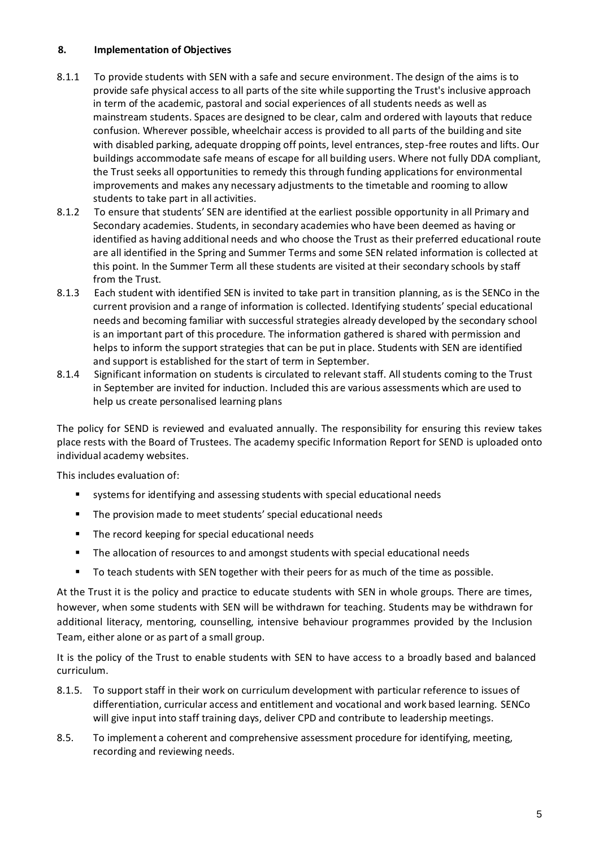## **8. Implementation of Objectives**

- 8.1.1 To provide students with SEN with a safe and secure environment. The design of the aims is to provide safe physical access to all parts of the site while supporting the Trust's inclusive approach in term of the academic, pastoral and social experiences of all students needs as well as mainstream students. Spaces are designed to be clear, calm and ordered with layouts that reduce confusion. Wherever possible, wheelchair access is provided to all parts of the building and site with disabled parking, adequate dropping off points, level entrances, step-free routes and lifts. Our buildings accommodate safe means of escape for all building users. Where not fully DDA compliant, the Trust seeks all opportunities to remedy this through funding applications for environmental improvements and makes any necessary adjustments to the timetable and rooming to allow students to take part in all activities.
- 8.1.2 To ensure that students' SEN are identified at the earliest possible opportunity in all Primary and Secondary academies. Students, in secondary academies who have been deemed as having or identified as having additional needs and who choose the Trust as their preferred educational route are all identified in the Spring and Summer Terms and some SEN related information is collected at this point. In the Summer Term all these students are visited at their secondary schools by staff from the Trust.
- 8.1.3 Each student with identified SEN is invited to take part in transition planning, as is the SENCo in the current provision and a range of information is collected. Identifying students' special educational needs and becoming familiar with successful strategies already developed by the secondary school is an important part of this procedure. The information gathered is shared with permission and helps to inform the support strategies that can be put in place. Students with SEN are identified and support is established for the start of term in September.
- 8.1.4 Significant information on students is circulated to relevant staff. All students coming to the Trust in September are invited for induction. Included this are various assessments which are used to help us create personalised learning plans

The policy for SEND is reviewed and evaluated annually. The responsibility for ensuring this review takes place rests with the Board of Trustees. The academy specific Information Report for SEND is uploaded onto individual academy websites.

This includes evaluation of:

- systems for identifying and assessing students with special educational needs
- The provision made to meet students' special educational needs
- The record keeping for special educational needs
- The allocation of resources to and amongst students with special educational needs
- To teach students with SEN together with their peers for as much of the time as possible.

At the Trust it is the policy and practice to educate students with SEN in whole groups. There are times, however, when some students with SEN will be withdrawn for teaching. Students may be withdrawn for additional literacy, mentoring, counselling, intensive behaviour programmes provided by the Inclusion Team, either alone or as part of a small group.

It is the policy of the Trust to enable students with SEN to have access to a broadly based and balanced curriculum.

- 8.1.5. To support staff in their work on curriculum development with particular reference to issues of differentiation, curricular access and entitlement and vocational and work based learning. SENCo will give input into staff training days, deliver CPD and contribute to leadership meetings.
- 8.5. To implement a coherent and comprehensive assessment procedure for identifying, meeting, recording and reviewing needs.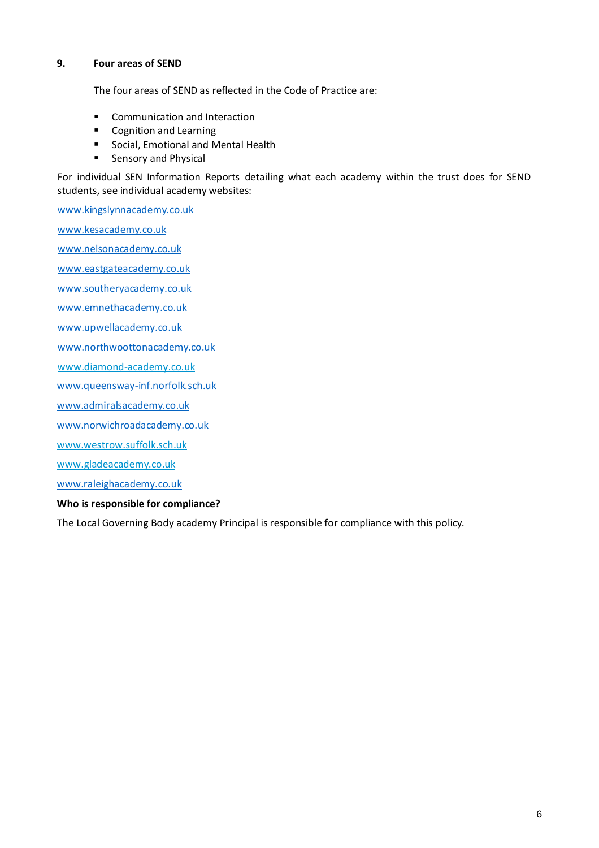#### **9. Four areas of SEND**

The four areas of SEND as reflected in the Code of Practice are:

- Communication and Interaction
- Cognition and Learning
- Social, Emotional and Mental Health
- Sensory and Physical

For individual SEN Information Reports detailing what each academy within the trust does for SEND students, see individual academy websites:

[www.kingslynnacademy.co.uk](http://www.kingslynnacademy.co.uk/)

www.kesacademy.co.uk

[www.nelsonacademy.co.uk](http://www.nelsonacademy.co.uk/)

[www.eastgateacademy.co.uk](http://www.eastgateacademy.co.uk/)

[www.southeryacademy.co.uk](http://www.southeryacademy.co.uk/)

[www.emnethacademy.co.uk](http://www.emnethacademy.co.uk/)

[www.upwellacademy.co.uk](http://www.upwellacademy.co.uk/)

[www.northwoottonacademy.co.uk](http://www.northwoottonacademy.co.uk/)

[www.diamond-academy.co.uk](http://www.diamond-academy.co.uk/)

[www.queensway-inf.norfolk.sch.uk](http://www.queensway-inf.norfolk.sch.uk/)

[www.admiralsacademy.co.uk](http://www.admiralsacademy.co.uk/)

[www.norwichroadacademy.co.uk](http://www.norwichroadacademy.co.uk/)

[www.westrow.suffolk.sch.uk](http://www.westrow.suffolk.sch.uk/)

[www.gladeacademy.co.uk](http://www.gladeacademy.co.uk/)

www.raleighacademy.co.uk

#### **Who is responsible for compliance?**

The Local Governing Body academy Principal is responsible for compliance with this policy.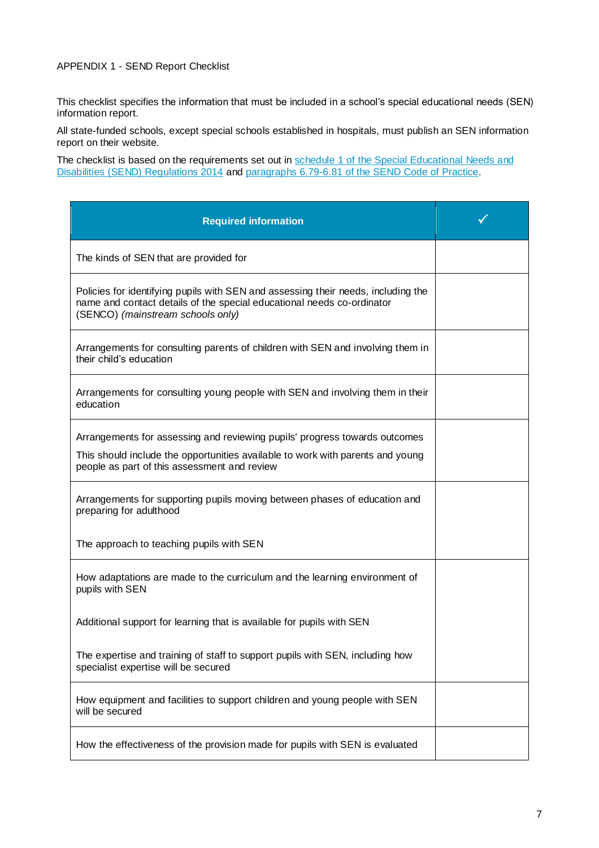#### APPENDIX 1 - SEND Report Checklist

This checklist specifies the information that must be included in a school's special educational needs (SEN) information report.

All state-funded schools, except special schools established in hospitals, must publish an SEN information report on their website.

The checklist is based on the requirements set out in [schedule 1 of the Special Educational Needs](http://www.legislation.gov.uk/uksi/2014/1530/schedule/1/made) and [Disabilities \(SEND\) Regulations 2014](http://www.legislation.gov.uk/uksi/2014/1530/schedule/1/made) and [paragraphs 6.79-6.81 of the SEND Code of Practice.](https://www.gov.uk/government/uploads/system/uploads/attachment_data/file/398815/SEND_Code_of_Practice_January_2015.pdf)

| <b>Required information</b>                                                                                                                                                                                  |  |
|--------------------------------------------------------------------------------------------------------------------------------------------------------------------------------------------------------------|--|
| The kinds of SEN that are provided for                                                                                                                                                                       |  |
| Policies for identifying pupils with SEN and assessing their needs, including the<br>name and contact details of the special educational needs co-ordinator<br>(SENCO) (mainstream schools only)             |  |
| Arrangements for consulting parents of children with SEN and involving them in<br>their child's education                                                                                                    |  |
| Arrangements for consulting young people with SEN and involving them in their<br>education                                                                                                                   |  |
| Arrangements for assessing and reviewing pupils' progress towards outcomes<br>This should include the opportunities available to work with parents and young<br>people as part of this assessment and review |  |
| Arrangements for supporting pupils moving between phases of education and<br>preparing for adulthood                                                                                                         |  |
| The approach to teaching pupils with SEN                                                                                                                                                                     |  |
| How adaptations are made to the curriculum and the learning environment of<br>pupils with SEN                                                                                                                |  |
| Additional support for learning that is available for pupils with SEN                                                                                                                                        |  |
| The expertise and training of staff to support pupils with SEN, including how<br>specialist expertise will be secured                                                                                        |  |
| How equipment and facilities to support children and young people with SEN<br>will be secured                                                                                                                |  |
| How the effectiveness of the provision made for pupils with SEN is evaluated                                                                                                                                 |  |